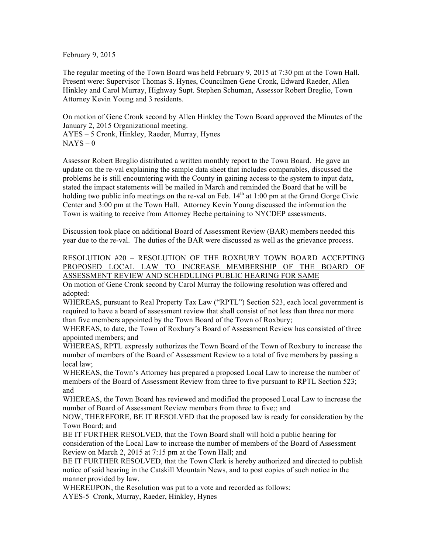February 9, 2015

The regular meeting of the Town Board was held February 9, 2015 at 7:30 pm at the Town Hall. Present were: Supervisor Thomas S. Hynes, Councilmen Gene Cronk, Edward Raeder, Allen Hinkley and Carol Murray, Highway Supt. Stephen Schuman, Assessor Robert Breglio, Town Attorney Kevin Young and 3 residents.

On motion of Gene Cronk second by Allen Hinkley the Town Board approved the Minutes of the January 2, 2015 Organizational meeting. AYES – 5 Cronk, Hinkley, Raeder, Murray, Hynes  $NAYS - 0$ 

Assessor Robert Breglio distributed a written monthly report to the Town Board. He gave an update on the re-val explaining the sample data sheet that includes comparables, discussed the problems he is still encountering with the County in gaining access to the system to input data, stated the impact statements will be mailed in March and reminded the Board that he will be holding two public info meetings on the re-val on Feb.  $14<sup>th</sup>$  at 1:00 pm at the Grand Gorge Civic Center and 3:00 pm at the Town Hall. Attorney Kevin Young discussed the information the Town is waiting to receive from Attorney Beebe pertaining to NYCDEP assessments.

Discussion took place on additional Board of Assessment Review (BAR) members needed this year due to the re-val. The duties of the BAR were discussed as well as the grievance process.

RESOLUTION #20 – RESOLUTION OF THE ROXBURY TOWN BOARD ACCEPTING PROPOSED LOCAL LAW TO INCREASE MEMBERSHIP OF THE BOARD OF ASSESSMENT REVIEW AND SCHEDULING PUBLIC HEARING FOR SAME

On motion of Gene Cronk second by Carol Murray the following resolution was offered and adopted:

WHEREAS, pursuant to Real Property Tax Law ("RPTL") Section 523, each local government is required to have a board of assessment review that shall consist of not less than three nor more than five members appointed by the Town Board of the Town of Roxbury;

WHEREAS, to date, the Town of Roxbury's Board of Assessment Review has consisted of three appointed members; and

WHEREAS, RPTL expressly authorizes the Town Board of the Town of Roxbury to increase the number of members of the Board of Assessment Review to a total of five members by passing a local law;

WHEREAS, the Town's Attorney has prepared a proposed Local Law to increase the number of members of the Board of Assessment Review from three to five pursuant to RPTL Section 523; and

WHEREAS, the Town Board has reviewed and modified the proposed Local Law to increase the number of Board of Assessment Review members from three to five;; and

NOW, THEREFORE, BE IT RESOLVED that the proposed law is ready for consideration by the Town Board; and

BE IT FURTHER RESOLVED, that the Town Board shall will hold a public hearing for consideration of the Local Law to increase the number of members of the Board of Assessment Review on March 2, 2015 at 7:15 pm at the Town Hall; and

BE IT FURTHER RESOLVED, that the Town Clerk is hereby authorized and directed to publish notice of said hearing in the Catskill Mountain News, and to post copies of such notice in the manner provided by law.

WHEREUPON, the Resolution was put to a vote and recorded as follows:

AYES-5 Cronk, Murray, Raeder, Hinkley, Hynes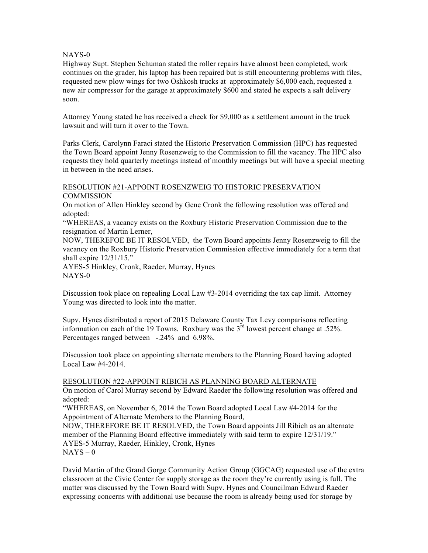### NAYS-0

Highway Supt. Stephen Schuman stated the roller repairs have almost been completed, work continues on the grader, his laptop has been repaired but is still encountering problems with files, requested new plow wings for two Oshkosh trucks at approximately \$6,000 each, requested a new air compressor for the garage at approximately \$600 and stated he expects a salt delivery soon.

Attorney Young stated he has received a check for \$9,000 as a settlement amount in the truck lawsuit and will turn it over to the Town.

Parks Clerk, Carolynn Faraci stated the Historic Preservation Commission (HPC) has requested the Town Board appoint Jenny Rosenzweig to the Commission to fill the vacancy. The HPC also requests they hold quarterly meetings instead of monthly meetings but will have a special meeting in between in the need arises.

#### RESOLUTION #21-APPOINT ROSENZWEIG TO HISTORIC PRESERVATION COMMISSION

On motion of Allen Hinkley second by Gene Cronk the following resolution was offered and adopted:

"WHEREAS, a vacancy exists on the Roxbury Historic Preservation Commission due to the resignation of Martin Lerner,

NOW, THEREFOE BE IT RESOLVED, the Town Board appoints Jenny Rosenzweig to fill the vacancy on the Roxbury Historic Preservation Commission effective immediately for a term that shall expire 12/31/15."

AYES-5 Hinkley, Cronk, Raeder, Murray, Hynes NAYS-0

Discussion took place on repealing Local Law #3-2014 overriding the tax cap limit. Attorney Young was directed to look into the matter.

Supv. Hynes distributed a report of 2015 Delaware County Tax Levy comparisons reflecting information on each of the 19 Towns. Roxbury was the  $3<sup>rd</sup>$  lowest percent change at .52%. Percentages ranged between **-**.24% and 6.98%.

Discussion took place on appointing alternate members to the Planning Board having adopted Local Law #4-2014.

# RESOLUTION #22-APPOINT RIBICH AS PLANNING BOARD ALTERNATE

On motion of Carol Murray second by Edward Raeder the following resolution was offered and adopted:

"WHEREAS, on November 6, 2014 the Town Board adopted Local Law #4-2014 for the Appointment of Alternate Members to the Planning Board,

NOW, THEREFORE BE IT RESOLVED, the Town Board appoints Jill Ribich as an alternate member of the Planning Board effective immediately with said term to expire 12/31/19." AYES-5 Murray, Raeder, Hinkley, Cronk, Hynes  $NAYS - 0$ 

David Martin of the Grand Gorge Community Action Group (GGCAG) requested use of the extra classroom at the Civic Center for supply storage as the room they're currently using is full. The matter was discussed by the Town Board with Supv. Hynes and Councilman Edward Raeder expressing concerns with additional use because the room is already being used for storage by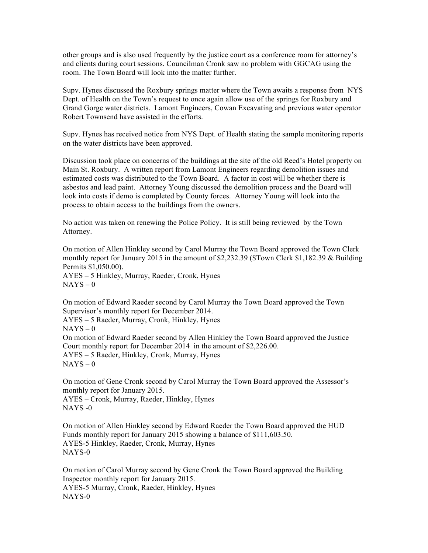other groups and is also used frequently by the justice court as a conference room for attorney's and clients during court sessions. Councilman Cronk saw no problem with GGCAG using the room. The Town Board will look into the matter further.

Supv. Hynes discussed the Roxbury springs matter where the Town awaits a response from NYS Dept. of Health on the Town's request to once again allow use of the springs for Roxbury and Grand Gorge water districts. Lamont Engineers, Cowan Excavating and previous water operator Robert Townsend have assisted in the efforts.

Supv. Hynes has received notice from NYS Dept. of Health stating the sample monitoring reports on the water districts have been approved.

Discussion took place on concerns of the buildings at the site of the old Reed's Hotel property on Main St. Roxbury. A written report from Lamont Engineers regarding demolition issues and estimated costs was distributed to the Town Board. A factor in cost will be whether there is asbestos and lead paint. Attorney Young discussed the demolition process and the Board will look into costs if demo is completed by County forces. Attorney Young will look into the process to obtain access to the buildings from the owners.

No action was taken on renewing the Police Policy. It is still being reviewed by the Town Attorney.

On motion of Allen Hinkley second by Carol Murray the Town Board approved the Town Clerk monthly report for January 2015 in the amount of \$2,232.39 (\$Town Clerk \$1,182.39 & Building Permits \$1,050.00). AYES – 5 Hinkley, Murray, Raeder, Cronk, Hynes

 $NAYS - 0$ On motion of Edward Raeder second by Carol Murray the Town Board approved the Town

Supervisor's monthly report for December 2014. AYES – 5 Raeder, Murray, Cronk, Hinkley, Hynes  $NAYS - 0$ On motion of Edward Raeder second by Allen Hinkley the Town Board approved the Justice Court monthly report for December 2014 in the amount of \$2,226.00. AYES – 5 Raeder, Hinkley, Cronk, Murray, Hynes  $NAYS - 0$ 

On motion of Gene Cronk second by Carol Murray the Town Board approved the Assessor's monthly report for January 2015.

AYES – Cronk, Murray, Raeder, Hinkley, Hynes NAYS -0

On motion of Allen Hinkley second by Edward Raeder the Town Board approved the HUD Funds monthly report for January 2015 showing a balance of \$111,603.50. AYES-5 Hinkley, Raeder, Cronk, Murray, Hynes NAYS-0

On motion of Carol Murray second by Gene Cronk the Town Board approved the Building Inspector monthly report for January 2015. AYES-5 Murray, Cronk, Raeder, Hinkley, Hynes NAYS-0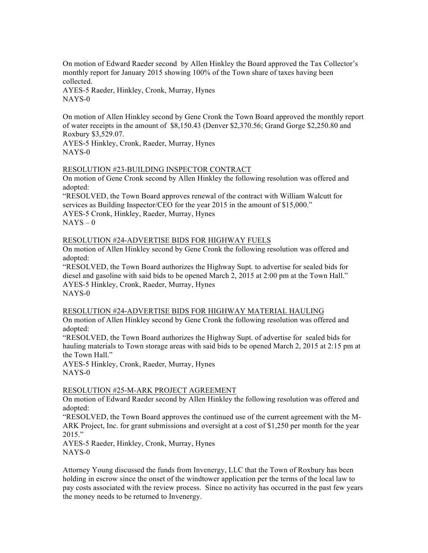On motion of Edward Raeder second by Allen Hinkley the Board approved the Tax Collector's monthly report for January 2015 showing 100% of the Town share of taxes having been collected.

AYES-5 Raeder, Hinkley, Cronk, Murray, Hynes NAYS-0

On motion of Allen Hinkley second by Gene Cronk the Town Board approved the monthly report of water receipts in the amount of \$8,150.43 (Denver \$2,370.56; Grand Gorge \$2,250.80 and Roxbury \$3,529.07.

AYES-5 Hinkley, Cronk, Raeder, Murray, Hynes NAYS-0

### RESOLUTION #23-BUILDING INSPECTOR CONTRACT

On motion of Gene Cronk second by Allen Hinkley the following resolution was offered and adopted:

"RESOLVED, the Town Board approves renewal of the contract with William Walcutt for services as Building Inspector/CEO for the year 2015 in the amount of \$15,000." AYES-5 Cronk, Hinkley, Raeder, Murray, Hynes  $NAYS - 0$ 

### RESOLUTION #24-ADVERTISE BIDS FOR HIGHWAY FUELS

On motion of Allen Hinkley second by Gene Cronk the following resolution was offered and adopted:

"RESOLVED, the Town Board authorizes the Highway Supt. to advertise for sealed bids for diesel and gasoline with said bids to be opened March 2, 2015 at 2:00 pm at the Town Hall." AYES-5 Hinkley, Cronk, Raeder, Murray, Hynes NAYS-0

# RESOLUTION #24-ADVERTISE BIDS FOR HIGHWAY MATERIAL HAULING

On motion of Allen Hinkley second by Gene Cronk the following resolution was offered and adopted:

"RESOLVED, the Town Board authorizes the Highway Supt. of advertise for sealed bids for hauling materials to Town storage areas with said bids to be opened March 2, 2015 at 2:15 pm at the Town Hall."

AYES-5 Hinkley, Cronk, Raeder, Murray, Hynes NAYS-0

# RESOLUTION #25-M-ARK PROJECT AGREEMENT

On motion of Edward Raeder second by Allen Hinkley the following resolution was offered and adopted:

"RESOLVED, the Town Board approves the continued use of the current agreement with the M-ARK Project, Inc. for grant submissions and oversight at a cost of \$1,250 per month for the year 2015."

AYES-5 Raeder, Hinkley, Cronk, Murray, Hynes NAYS-0

Attorney Young discussed the funds from Invenergy, LLC that the Town of Roxbury has been holding in escrow since the onset of the windtower application per the terms of the local law to pay costs associated with the review process. Since no activity has occurred in the past few years the money needs to be returned to Invenergy.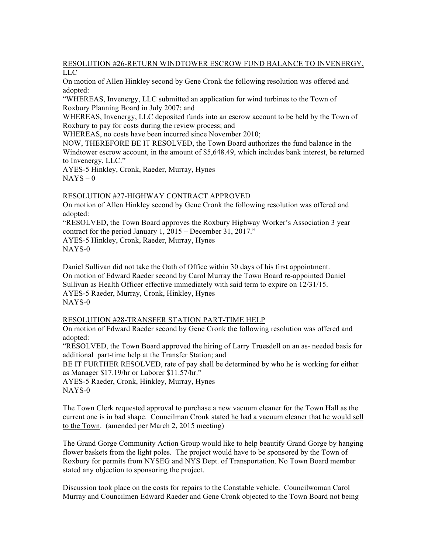RESOLUTION #26-RETURN WINDTOWER ESCROW FUND BALANCE TO INVENERGY, LLC

On motion of Allen Hinkley second by Gene Cronk the following resolution was offered and adopted:

"WHEREAS, Invenergy, LLC submitted an application for wind turbines to the Town of Roxbury Planning Board in July 2007; and

WHEREAS, Invenergy, LLC deposited funds into an escrow account to be held by the Town of Roxbury to pay for costs during the review process; and

WHEREAS, no costs have been incurred since November 2010;

NOW, THEREFORE BE IT RESOLVED, the Town Board authorizes the fund balance in the Windtower escrow account, in the amount of \$5,648.49, which includes bank interest, be returned to Invenergy, LLC."

AYES-5 Hinkley, Cronk, Raeder, Murray, Hynes  $NAYS - 0$ 

#### RESOLUTION #27-HIGHWAY CONTRACT APPROVED

On motion of Allen Hinkley second by Gene Cronk the following resolution was offered and adopted:

"RESOLVED, the Town Board approves the Roxbury Highway Worker's Association 3 year contract for the period January 1, 2015 – December 31, 2017." AYES-5 Hinkley, Cronk, Raeder, Murray, Hynes NAYS-0

Daniel Sullivan did not take the Oath of Office within 30 days of his first appointment. On motion of Edward Raeder second by Carol Murray the Town Board re-appointed Daniel Sullivan as Health Officer effective immediately with said term to expire on 12/31/15. AYES-5 Raeder, Murray, Cronk, Hinkley, Hynes NAYS-0

### RESOLUTION #28-TRANSFER STATION PART-TIME HELP

On motion of Edward Raeder second by Gene Cronk the following resolution was offered and adopted:

"RESOLVED, the Town Board approved the hiring of Larry Truesdell on an as- needed basis for additional part-time help at the Transfer Station; and

BE IT FURTHER RESOLVED, rate of pay shall be determined by who he is working for either as Manager \$17.19/hr or Laborer \$11.57/hr."

AYES-5 Raeder, Cronk, Hinkley, Murray, Hynes NAYS-0

The Town Clerk requested approval to purchase a new vacuum cleaner for the Town Hall as the current one is in bad shape. Councilman Cronk stated he had a vacuum cleaner that he would sell to the Town. (amended per March 2, 2015 meeting)

The Grand Gorge Community Action Group would like to help beautify Grand Gorge by hanging flower baskets from the light poles. The project would have to be sponsored by the Town of Roxbury for permits from NYSEG and NYS Dept. of Transportation. No Town Board member stated any objection to sponsoring the project.

Discussion took place on the costs for repairs to the Constable vehicle. Councilwoman Carol Murray and Councilmen Edward Raeder and Gene Cronk objected to the Town Board not being